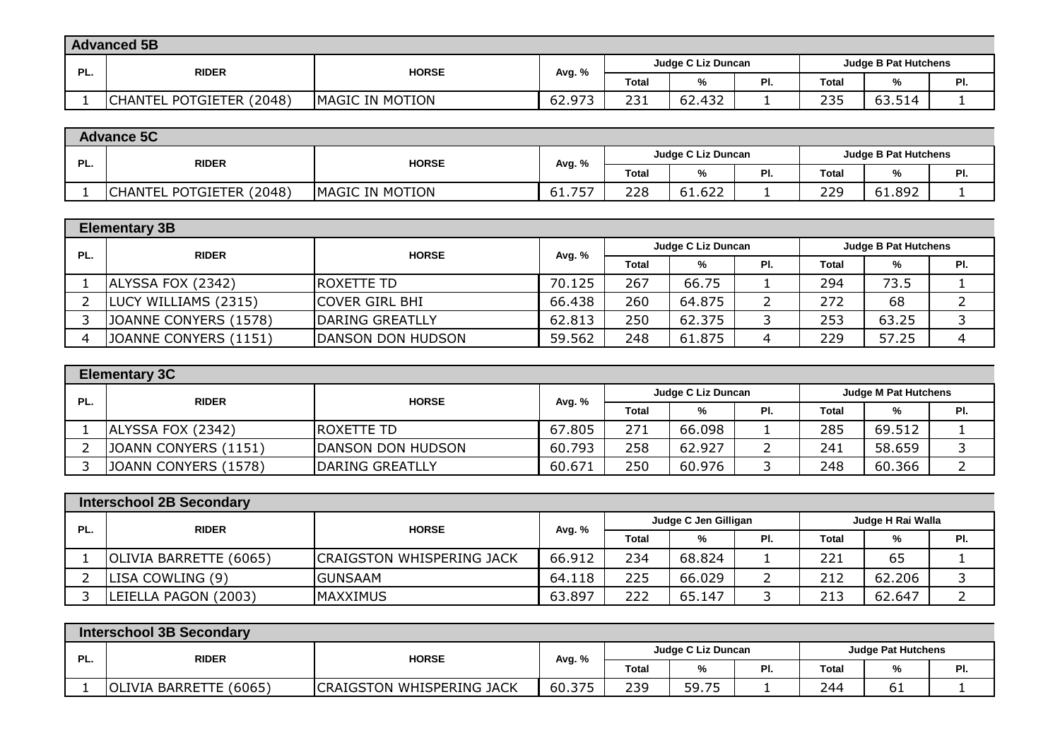|     | <b>Advanced 5B</b>           |                         |        |                    |        |                             |              |              |           |  |
|-----|------------------------------|-------------------------|--------|--------------------|--------|-----------------------------|--------------|--------------|-----------|--|
| PL. | <b>RIDER</b><br><b>HORSE</b> |                         |        | Judge C Liz Duncan |        | <b>Judge B Pat Hutchens</b> |              |              |           |  |
|     |                              |                         | Avg. % | <b>Total</b>       | %      | PI.                         | <b>Total</b> | $\mathbf{O}$ | DГ<br>. . |  |
|     | CHANTEL POTGIETER (2048)     | <b>IMAGIC IN MOTION</b> | 62.973 | 231                | 62.432 | -                           | 235          | 63.514       |           |  |

|     | <b>Advance 5C</b>            |                        |                                                   |              |        |     |              |        |     |
|-----|------------------------------|------------------------|---------------------------------------------------|--------------|--------|-----|--------------|--------|-----|
| PL. | <b>RIDER</b><br><b>HORSE</b> |                        | Judge C Liz Duncan<br><b>Judge B Pat Hutchens</b> |              |        |     |              |        |     |
|     |                              |                        | Avg. %                                            | <b>Total</b> |        | PI. | <b>Total</b> |        | PI. |
|     | CHANTEL POTGIETER (2048)     | <b>MAGIC IN MOTION</b> | フトフ<br>61.75                                      | 228          | 61.622 |     | 229          | 61.892 |     |

|     | <b>Elementary 3B</b>  |                         |        |                    |        |     |       |                             |     |  |
|-----|-----------------------|-------------------------|--------|--------------------|--------|-----|-------|-----------------------------|-----|--|
| PL. | <b>RIDER</b>          | <b>HORSE</b>            | Avg. % | Judge C Liz Duncan |        |     |       | <b>Judge B Pat Hutchens</b> |     |  |
|     |                       |                         |        | <b>Total</b>       | %      | PI. | Total | %                           | PI. |  |
|     | ALYSSA FOX (2342)     | <b>IROXETTE TD</b>      | 70.125 | 267                | 66.75  |     | 294   | 73.5                        |     |  |
|     | LUCY WILLIAMS (2315)  | <b>COVER GIRL BHI</b>   | 66.438 | 260                | 64.875 |     | 272   | 68                          |     |  |
|     | JOANNE CONYERS (1578) | <b>IDARING GREATLLY</b> | 62.813 | 250                | 62.375 |     | 253   | 63.25                       |     |  |
|     | JOANNE CONYERS (1151) | DANSON DON HUDSON       | 59.562 | 248                | 61.875 |     | 229   | 57.25                       |     |  |

|     | <b>Elementary 3C</b> |                   |        |                                                   |        |     |       |        |     |  |
|-----|----------------------|-------------------|--------|---------------------------------------------------|--------|-----|-------|--------|-----|--|
| PL. | <b>RIDER</b>         | <b>HORSE</b>      | Avg. % | Judge C Liz Duncan<br><b>Judge M Pat Hutchens</b> |        |     |       |        |     |  |
|     |                      |                   |        | <b>Total</b>                                      | %      | PI. | Total | %      | PI. |  |
|     | ALYSSA FOX (2342)    | IROXETTE TD       | 67.805 | 271                                               | 66.098 |     | 285   | 69.512 |     |  |
|     | JOANN CONYERS (1151) | DANSON DON HUDSON | 60.793 | 258                                               | 62.927 |     | 241   | 58.659 |     |  |
|     | JOANN CONYERS (1578) | DARING GREATLLY   | 60.671 | 250                                               | 60.976 |     | 248   | 60.366 |     |  |

|     | <b>Interschool 2B Secondary</b> |                                  |        |                                                     |        |          |       |               |     |  |
|-----|---------------------------------|----------------------------------|--------|-----------------------------------------------------|--------|----------|-------|---------------|-----|--|
| PL. | <b>RIDER</b>                    | <b>HORSE</b>                     |        | Judge H Rai Walla<br>Judge C Jen Gilligan<br>Avg. % |        |          |       |               |     |  |
|     |                                 |                                  |        | <b>Total</b>                                        | %      | PI.      | Total | $\frac{9}{6}$ | PI. |  |
|     | OLIVIA BARRETTE (6065)          | <b>CRAIGSTON WHISPERING JACK</b> | 66.912 | 234                                                 | 68,824 |          | 221   | 65            |     |  |
|     | LISA COWLING (9)                | IGUNSAAM                         | 64.118 | 225                                                 | 66.029 | <u>_</u> | 212   | 62.206        |     |  |
|     | LEIELLA PAGON (2003)            | IMAXXIMUS                        | 63.897 | 222                                                 | 65.147 |          | 213   | 62.647        |     |  |

|     | <b>Interschool 3B Secondary</b> |                                  |                                                 |              |       |     |       |              |     |  |
|-----|---------------------------------|----------------------------------|-------------------------------------------------|--------------|-------|-----|-------|--------------|-----|--|
| PL. | <b>HORSE</b><br><b>RIDER</b>    |                                  | Judge C Liz Duncan<br><b>Judge Pat Hutchens</b> |              |       |     |       |              |     |  |
|     |                                 |                                  | Avg. %                                          | <b>Total</b> |       | PI. | Total | $\mathbf{0}$ | . . |  |
|     | OLIVIA BARRETTE (6065)          | <b>CRAIGSTON WHISPERING JACK</b> | 60.375                                          | 239          | 59.75 |     | 244   | ΟT           |     |  |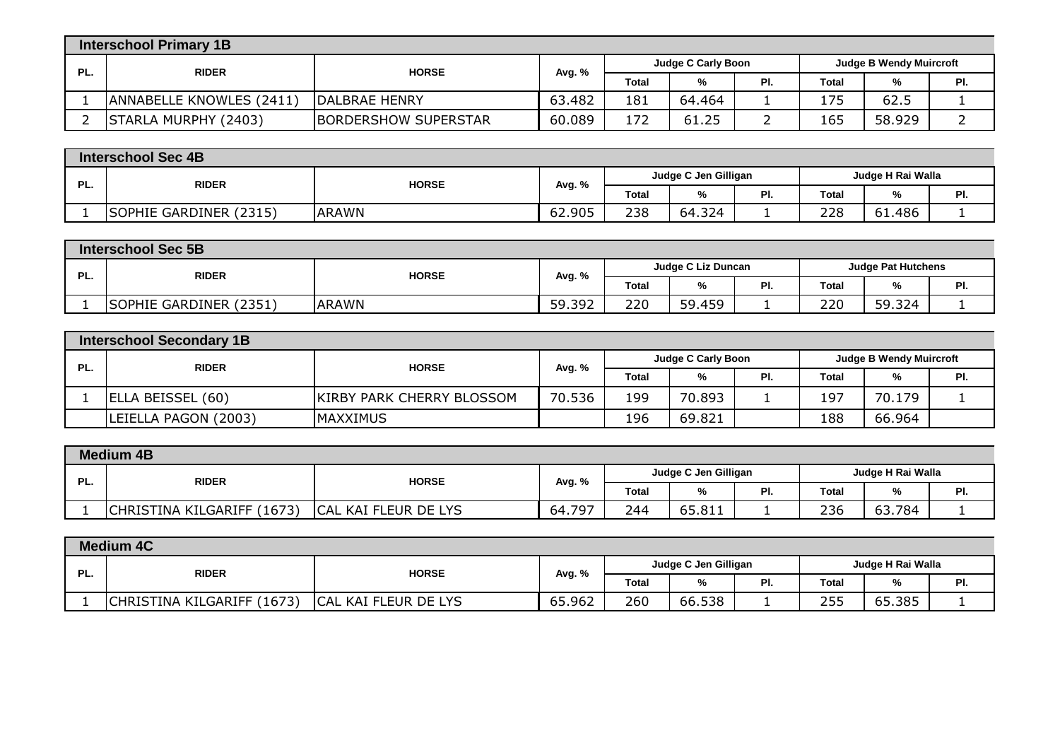|     | <b>Interschool Primary 1B</b> |                             |        |                                                             |        |     |       |        |     |  |
|-----|-------------------------------|-----------------------------|--------|-------------------------------------------------------------|--------|-----|-------|--------|-----|--|
| PL. | <b>RIDER</b><br><b>HORSE</b>  |                             |        | <b>Judge C Carly Boon</b><br><b>Judge B Wendy Muircroft</b> |        |     |       |        |     |  |
|     |                               |                             | Avg. % | <b>Total</b>                                                | %      | PI. | Total | %      | PI. |  |
|     | ANNABELLE KNOWLES (2411)      | <b>IDALBRAE HENRY</b>       | 63.482 | 181                                                         | 64.464 |     | 175   | 62.5   |     |  |
|     | STARLA MURPHY (2403)          | <b>BORDERSHOW SUPERSTAR</b> | 60.089 | 172                                                         | 61.25  |     | 165   | 58.929 |     |  |

|     | <b>Interschool Sec 4B</b>        |              |        |                      |        |                   |              |        |           |  |
|-----|----------------------------------|--------------|--------|----------------------|--------|-------------------|--------------|--------|-----------|--|
| PL. | <b>RIDER</b><br><b>HORSE</b>     |              |        | Judge C Jen Gilligan |        | Judge H Rai Walla |              |        |           |  |
|     |                                  |              | Avg. ዓ | <b>Total</b>         | ∕″     | PI.               | <b>Total</b> |        | ים<br>гι. |  |
|     | (2315)<br><b>SOPHIE GARDINER</b> | <b>ARAWN</b> | 62.905 | 238                  | 64.324 |                   | 228          | 61.486 |           |  |

|     | <b>Interschool Sec 5B</b>    |              |        |                    |               |                           |       |        |         |  |
|-----|------------------------------|--------------|--------|--------------------|---------------|---------------------------|-------|--------|---------|--|
| PL. | <b>HORSE</b><br><b>RIDER</b> |              |        | Judge C Liz Duncan |               | <b>Judge Pat Hutchens</b> |       |        |         |  |
|     |                              |              | Avg. % | <b>Total</b>       | $\sim$<br>ە⁄" | PI.                       | Total | %      | ים<br>. |  |
|     | SOPHIE GARDINER (2351)       | <b>ARAWN</b> | 59.392 | 220                | 59.459        |                           | 220   | 59.324 |         |  |

|     | Interschool Secondary 1B |                                  |        |                                                             |        |     |       |        |     |
|-----|--------------------------|----------------------------------|--------|-------------------------------------------------------------|--------|-----|-------|--------|-----|
| PL. | <b>RIDER</b>             | <b>HORSE</b>                     | Avg. % | <b>Judge C Carly Boon</b><br><b>Judge B Wendy Muircroft</b> |        |     |       |        |     |
|     |                          |                                  |        | <b>Total</b>                                                | %      | PI. | Total | %      | PI. |
|     | ELLA BEISSEL (60)        | <b>KIRBY PARK CHERRY BLOSSOM</b> | 70.536 | 199                                                         | 70.893 |     | 197   | 70.179 |     |
|     | LEIELLA PAGON (2003)     | <b>MAXXIMUS</b>                  |        | 196                                                         | 69.821 |     | 188   | 66.964 |     |

|     | <b>Medium 4B</b>           |                                   |        |       |                      |     |                   |        |     |  |
|-----|----------------------------|-----------------------------------|--------|-------|----------------------|-----|-------------------|--------|-----|--|
| PL. | <b>RIDER</b>               | <b>HORSE</b>                      | Avg. % |       | Judge C Jen Gilligan |     | Judge H Rai Walla |        |     |  |
|     |                            |                                   |        | Total | %                    | PI. | <b>Total</b>      |        | PI. |  |
|     | CHRISTINA KILGARIFF (1673) | <b>ICAL</b><br>. KAI FLEUR DE LYS | 64.797 | 244   | 65.811               | . . | 236               | 63.784 |     |  |

|     | <b>Medium 4C</b>                  |                                  |        |       |                      |     |                   |        |     |  |
|-----|-----------------------------------|----------------------------------|--------|-------|----------------------|-----|-------------------|--------|-----|--|
| PL. | <b>RIDER</b><br><b>HORSE</b>      |                                  | Avg. % |       | Judge C Jen Gilligan |     | Judge H Rai Walla |        |     |  |
|     |                                   |                                  |        | Total | %                    | PI. | <b>Total</b>      |        | . . |  |
|     | <b>CHRISTINA KILGARIFF (1673)</b> | <b>CAL</b><br>. KAI FLEUR DE LYS | 65.962 | 260   | 66.538               |     | <b>PP</b><br>255  | 65.385 |     |  |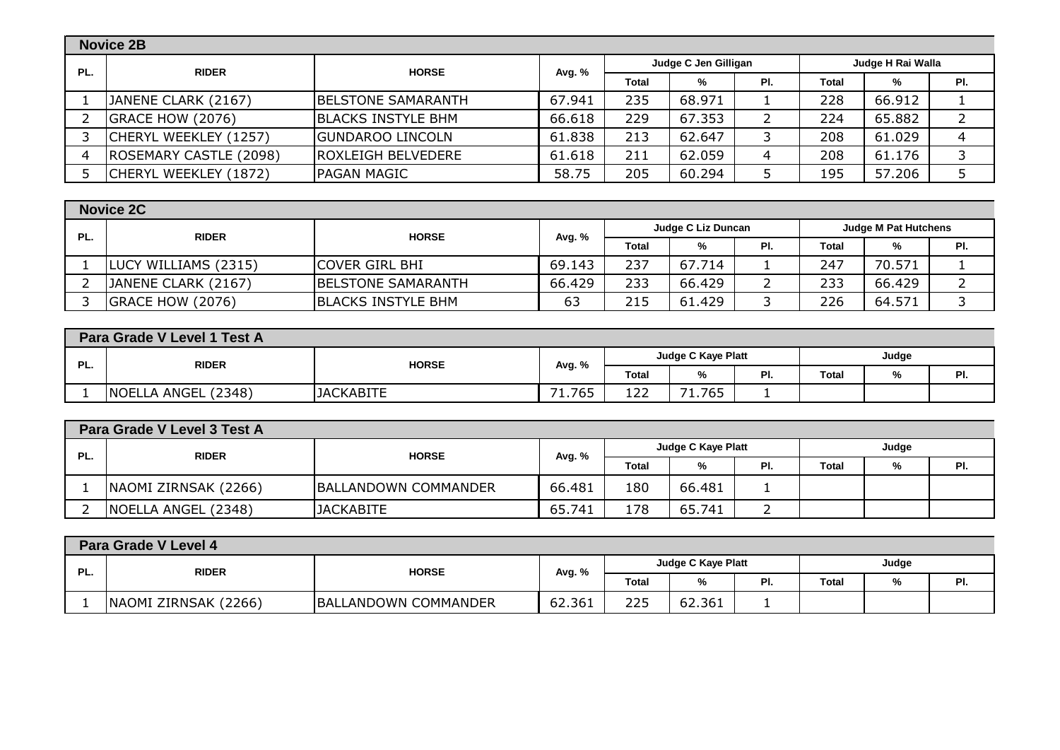|     | <b>Novice 2B</b>       |                           |        |              |                      |     |                   |        |     |  |
|-----|------------------------|---------------------------|--------|--------------|----------------------|-----|-------------------|--------|-----|--|
| PL. | <b>RIDER</b>           | <b>HORSE</b>              | Avg. % |              | Judge C Jen Gilligan |     | Judge H Rai Walla |        |     |  |
|     |                        |                           |        | <b>Total</b> | %                    | PI. | Total             | %      | PI. |  |
|     | JANENE CLARK (2167)    | <b>BELSTONE SAMARANTH</b> | 67.941 | 235          | 68.971               |     | 228               | 66.912 |     |  |
|     | GRACE HOW (2076)       | <b>BLACKS INSTYLE BHM</b> | 66.618 | 229          | 67.353               | ∠   | 224               | 65.882 |     |  |
|     | CHERYL WEEKLEY (1257)  | <b>GUNDAROO LINCOLN</b>   | 61.838 | 213          | 62.647               | 3   | 208               | 61.029 |     |  |
|     | ROSEMARY CASTLE (2098) | IROXLEIGH BELVEDERE       | 61.618 | 211          | 62.059               | 4   | 208               | 61.176 |     |  |
|     | CHERYL WEEKLEY (1872)  | <b>PAGAN MAGIC</b>        | 58.75  | 205          | 60.294               |     | 195               | 57.206 |     |  |

|     | <b>Novice 2C</b>     |                           |        |                                                   |        |     |       |        |     |  |
|-----|----------------------|---------------------------|--------|---------------------------------------------------|--------|-----|-------|--------|-----|--|
| PL. | <b>RIDER</b>         | <b>HORSE</b>              | Avg. % | Judge C Liz Duncan<br><b>Judge M Pat Hutchens</b> |        |     |       |        |     |  |
|     |                      |                           |        | <b>Total</b>                                      | %      | PI. | Total | %      | PI. |  |
|     | LUCY WILLIAMS (2315) | <b>COVER GIRL BHI</b>     | 69.143 | 237                                               | 67.714 |     | 247   | 70.571 |     |  |
|     | JANENE CLARK (2167)  | <b>BELSTONE SAMARANTH</b> | 66.429 | 233                                               | 66.429 |     | 233   | 66.429 |     |  |
|     | GRACE HOW (2076)     | <b>BLACKS INSTYLE BHM</b> | 63     | 215                                               | 61.429 | ت   | 226   | 64.571 |     |  |

|                                                                           | Para Grade V Level 1 Test A |                  |        |              |                 |     |              |   |     |  |
|---------------------------------------------------------------------------|-----------------------------|------------------|--------|--------------|-----------------|-----|--------------|---|-----|--|
| <b>Judge C Kaye Platt</b><br>Judge<br>DI.<br><b>RIDER</b><br><b>HORSE</b> |                             |                  |        |              |                 |     |              |   |     |  |
| г.                                                                        |                             |                  | Avg. % | <b>Total</b> | $\Omega$<br>∕"ه | PI. | <b>Total</b> | % | PI. |  |
|                                                                           | NOELLA ANGEL (2348)         | <b>JACKABITE</b> | 1.765  | ר ר<br>⊥∠∠   | '1.765          |     |              |   |     |  |

|     | Para Grade V Level 3 Test A |                             |        |                                     |        |     |       |       |     |  |  |
|-----|-----------------------------|-----------------------------|--------|-------------------------------------|--------|-----|-------|-------|-----|--|--|
| PL. | <b>RIDER</b>                | <b>HORSE</b>                |        | <b>Judge C Kaye Platt</b><br>Avg. % |        |     |       | Judge |     |  |  |
|     |                             |                             |        | <b>Total</b>                        | %      | PI. | Total | %     | PI. |  |  |
|     | NAOMI ZIRNSAK (2266)        | <b>BALLANDOWN COMMANDER</b> | 66.481 | 180                                 | 66.481 |     |       |       |     |  |  |
|     | NOELLA ANGEL (2348)         | <b>JACKABITE</b>            | 65.741 | 178                                 | 65.741 | _   |       |       |     |  |  |

|     | Para Grade V Level 4 |                             |        |                           |        |     |              |   |     |  |
|-----|----------------------|-----------------------------|--------|---------------------------|--------|-----|--------------|---|-----|--|
|     | <b>RIDER</b>         | <b>HORSE</b><br>Avg. %      |        | <b>Judge C Kaye Platt</b> |        |     | Judge        |   |     |  |
| PL. |                      |                             |        | <b>Total</b>              | %      | PI. | <b>Total</b> | % | PI. |  |
|     | NAOMI ZIRNSAK (2266) | <b>BALLANDOWN COMMANDER</b> | 62.361 | 225                       | 62.361 |     |              |   |     |  |
|     |                      |                             |        |                           |        |     |              |   |     |  |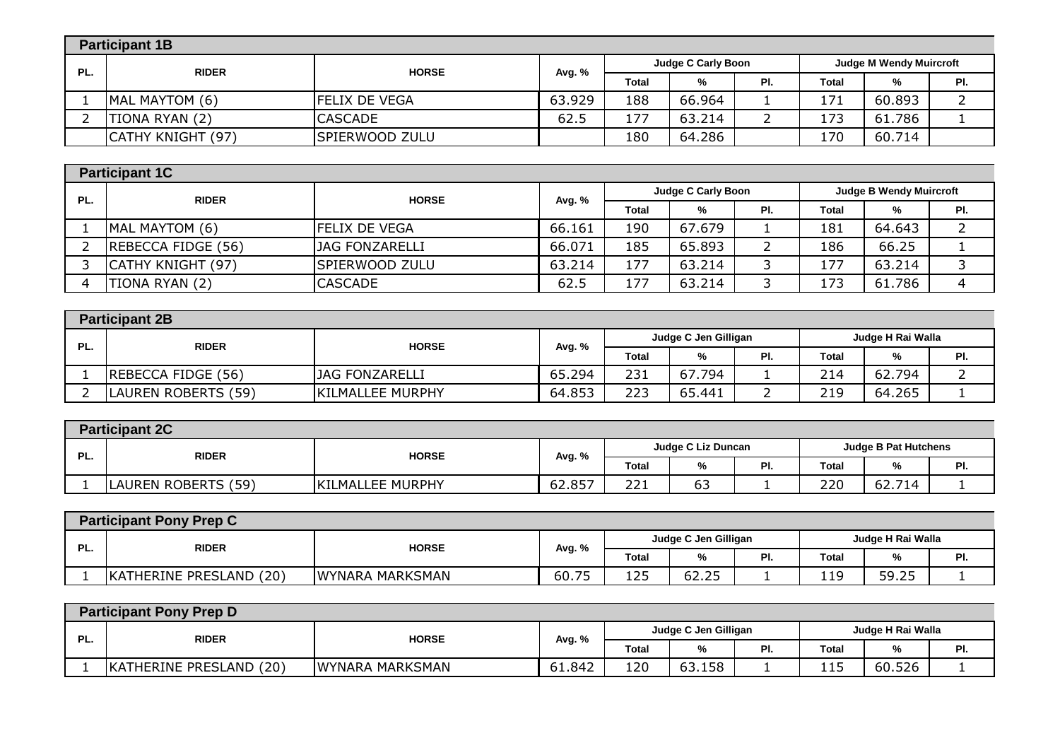|     | <b>Participant 1B</b> |                      |        |              |                           |     |       |                                |     |
|-----|-----------------------|----------------------|--------|--------------|---------------------------|-----|-------|--------------------------------|-----|
| PL. | <b>RIDER</b>          | <b>HORSE</b>         | Avg. % |              | <b>Judge C Carly Boon</b> |     |       | <b>Judge M Wendy Muircroft</b> |     |
|     |                       |                      |        | <b>Total</b> | %                         | PI. | Total | %                              | PI. |
|     | MAL MAYTOM (6)        | <b>FELIX DE VEGA</b> | 63.929 | 188          | 66.964                    |     | 171   | 60.893                         |     |
|     | TIONA RYAN (2)        | <b>CASCADE</b>       | 62.5   | 177          | 63.214                    |     | 173   | 61.786                         |     |
|     | CATHY KNIGHT (97)     | SPIERWOOD ZULU       |        | 180          | 64.286                    |     | 170   | 60.714                         |     |

|     | <b>Participant 1C</b> |                       |        |       |                    |     |                                |        |     |
|-----|-----------------------|-----------------------|--------|-------|--------------------|-----|--------------------------------|--------|-----|
| PL. | <b>RIDER</b>          | <b>HORSE</b>          | Avg. % |       | Judge C Carly Boon |     | <b>Judge B Wendy Muircroft</b> |        |     |
|     |                       |                       |        | Total | %                  | PI. | Total                          | %      | PI. |
|     | MAL MAYTOM (6)        | <b>IFELIX DE VEGA</b> | 66.161 | 190   | 67.679             |     | 181                            | 64.643 |     |
|     | REBECCA FIDGE (56)    | JAG FONZARELLI        | 66.071 | 185   | 65.893             |     | 186                            | 66.25  |     |
|     | CATHY KNIGHT (97)     | SPIERWOOD ZULU        | 63.214 | 177   | 63.214             |     | 177                            | 63.214 |     |
|     | TIONA RYAN (2)        | <b>CASCADE</b>        | 62.5   | 177   | 63.214             |     | 173                            | 61.786 |     |

|     | <b>Participant 2B</b> |                         |        |              |                      |          |              |                   |     |  |
|-----|-----------------------|-------------------------|--------|--------------|----------------------|----------|--------------|-------------------|-----|--|
| PL. | <b>RIDER</b>          | <b>HORSE</b>            |        |              | Judge C Jen Gilligan |          |              | Judge H Rai Walla |     |  |
|     |                       |                         | Avg. % | <b>Total</b> | %                    | PI.      | <b>Total</b> | %                 | PI. |  |
|     | REBECCA FIDGE (56)    | <b>JAG FONZARELLI</b>   | 65.294 | 231          | 67.794               |          | 214          | 62.794            |     |  |
|     | LAUREN ROBERTS (59)   | <b>KILMALLEE MURPHY</b> | 64.853 | 223          | 65.441               | <u>_</u> | 219          | 64.265            |     |  |

| <b>Participant 2C</b>               |                         |        |              |                    |     |                             |        |     |  |
|-------------------------------------|-------------------------|--------|--------------|--------------------|-----|-----------------------------|--------|-----|--|
| PL.<br><b>HORSE</b><br><b>RIDER</b> |                         |        |              | Judge C Liz Duncan |     | <b>Judge B Pat Hutchens</b> |        |     |  |
|                                     |                         | Avg. % | <b>Total</b> | "∕o                | PI. | Total                       | %      | PI. |  |
| LAUREN ROBERTS (59)                 | <b>KILMALLEE MURPHY</b> | 62.857 | ּר ר<br>∠∠⊥  | --<br>ხკ           |     | 220                         | 62.714 |     |  |

|     | <b>Participant Pony Prep C</b> |                 |             |                      |       |     |                   |       |     |  |
|-----|--------------------------------|-----------------|-------------|----------------------|-------|-----|-------------------|-------|-----|--|
|     | <b>RIDER</b>                   |                 |             | Judge C Jen Gilligan |       |     | Judge H Rai Walla |       |     |  |
| PL. |                                | <b>HORSE</b>    | Avg. %      | <b>Total</b>         | ∕′0   | PI. | <b>Total</b>      | %     | . . |  |
|     | (20)<br>KATHERINE PRESLAND     | WYNARA MARKSMAN | フト<br>60.75 | 125                  | 62.25 | . . | 119               | 59.25 |     |  |

|     | <b>Participant Pony Prep D</b> |                 |        |                      |        |     |                   |              |     |  |
|-----|--------------------------------|-----------------|--------|----------------------|--------|-----|-------------------|--------------|-----|--|
| ים  | <b>RIDER</b><br><b>HORSE</b>   |                 |        | Judge C Jen Gilligan |        |     | Judge H Rai Walla |              |     |  |
| −∟. |                                |                 | Avg. % | <b>Total</b>         | %      | PI. | <b>Total</b>      | $\mathbf{0}$ | . . |  |
|     | KATHERINE PRESLAND<br>(20)     | WYNARA MARKSMAN | 61.842 | 120                  | 63.158 |     | 115               | 60.526       |     |  |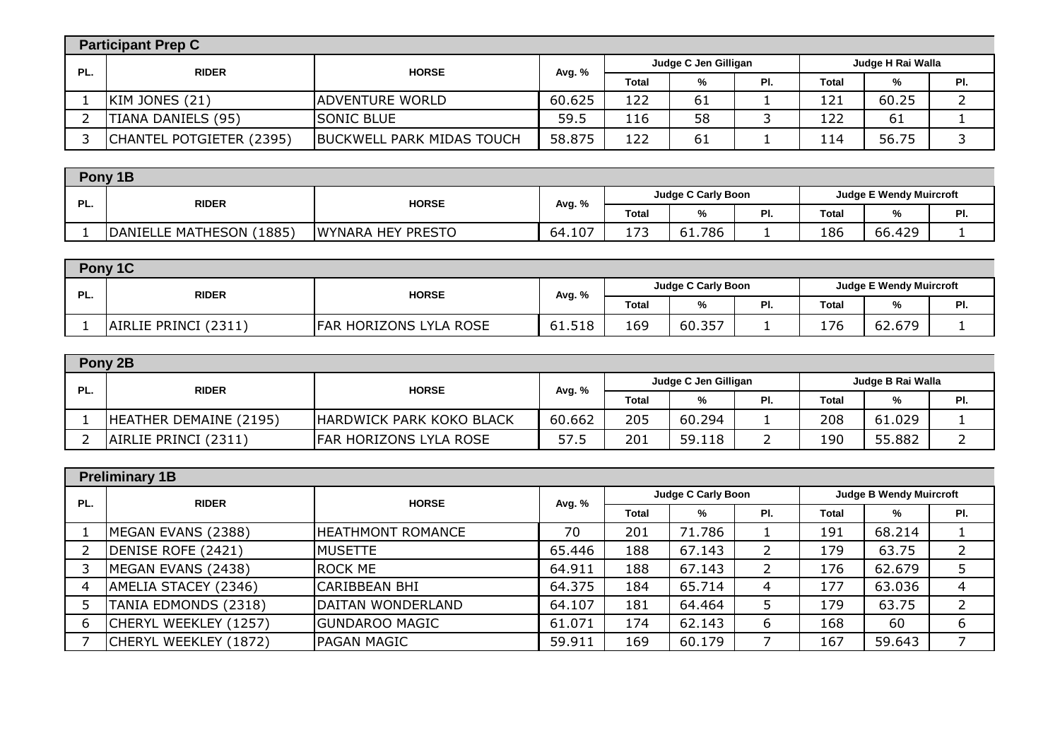|     | <b>Participant Prep C</b> |                                  |        |                                           |    |     |              |       |     |  |
|-----|---------------------------|----------------------------------|--------|-------------------------------------------|----|-----|--------------|-------|-----|--|
| PL. | <b>RIDER</b>              | <b>HORSE</b>                     | Avg. % | Judge C Jen Gilligan<br>Judge H Rai Walla |    |     |              |       |     |  |
|     |                           |                                  |        | <b>Total</b>                              | %  | PI. | <b>Total</b> | %     | PI. |  |
|     | KIM JONES (21)            | <b>ADVENTURE WORLD</b>           | 60.625 | 122                                       | 61 |     | 121          | 60.25 |     |  |
|     | TIANA DANIELS (95)        | <b>SONIC BLUE</b>                | 59.5   | 116                                       | 58 |     | 122          | 61    |     |  |
|     | CHANTEL POTGIETER (2395)  | <b>BUCKWELL PARK MIDAS TOUCH</b> | 58.875 | L22                                       | 61 |     | 114          | 56.75 |     |  |
|     |                           |                                  |        |                                           |    |     |              |       |     |  |

|     | Pony 1B                      |                   |                                                             |              |        |     |       |        |     |
|-----|------------------------------|-------------------|-------------------------------------------------------------|--------------|--------|-----|-------|--------|-----|
| PL. | <b>RIDER</b><br><b>HORSE</b> | Avg. %            | <b>Judge C Carly Boon</b><br><b>Judge E Wendy Muircroft</b> |              |        |     |       |        |     |
|     |                              |                   |                                                             | <b>Total</b> | %      | PI. | Total | %      | PI. |
|     | DANIELLE MATHESON (1885)     | WYNARA HEY PRESTO | 64.107                                                      | L73          | 61.786 |     | 186   | 66.429 |     |
|     |                              |                   |                                                             |              |        |     |       |        |     |

|     | Pony 1C                      |                               |                                                      |              |        |     |       |        |     |  |
|-----|------------------------------|-------------------------------|------------------------------------------------------|--------------|--------|-----|-------|--------|-----|--|
| PL. | <b>RIDER</b><br><b>HORSE</b> |                               | Judge C Carly Boon<br><b>Judge E Wendy Muircroft</b> |              |        |     |       |        |     |  |
|     |                              |                               | Avg. %                                               | <b>Total</b> | %      | PI. | Total | 0/2    | PI. |  |
|     | AIRLIE PRINCI (2311)         | <b>FAR HORIZONS LYLA ROSE</b> | 61.518                                               | 169          | 60.357 |     | 176   | 62.679 |     |  |

|     | Pony 2B                |                              |        |                                           |        |     |       |               |     |
|-----|------------------------|------------------------------|--------|-------------------------------------------|--------|-----|-------|---------------|-----|
| PL. |                        | <b>RIDER</b><br><b>HORSE</b> | Avg. % | Judge B Rai Walla<br>Judge C Jen Gilligan |        |     |       |               |     |
|     |                        |                              |        | <b>Total</b>                              | %      | PI. | Total | $\frac{9}{6}$ | PI. |
|     | HEATHER DEMAINE (2195) | HARDWICK PARK KOKO BLACK     | 60.662 | 205                                       | 60.294 |     | 208   | 61.029        |     |
|     | AIRLIE PRINCI (2311)   | FAR HORIZONS LYLA ROSE       | 57.5   | 201                                       | 59.118 |     | 190   | 55.882        |     |

|     | <b>Preliminary 1B</b> |                       |        |                           |        |     |                                |        |     |
|-----|-----------------------|-----------------------|--------|---------------------------|--------|-----|--------------------------------|--------|-----|
| PL. | <b>RIDER</b>          | <b>HORSE</b>          | Avg. % | <b>Judge C Carly Boon</b> |        |     | <b>Judge B Wendy Muircroft</b> |        |     |
|     |                       |                       |        | Total                     | %      | PI. | <b>Total</b>                   | %      | PI. |
|     | MEGAN EVANS (2388)    | HEATHMONT ROMANCE     | 70     | 201                       | 71.786 |     | 191                            | 68.214 |     |
|     | DENISE ROFE (2421)    | <b>MUSETTE</b>        | 65.446 | 188                       | 67.143 | 2   | 179                            | 63.75  |     |
|     | MEGAN EVANS (2438)    | <b>ROCK ME</b>        | 64.911 | 188                       | 67.143 | 2   | 176                            | 62.679 |     |
|     | AMELIA STACEY (2346)  | ICARIBBEAN BHI        | 64.375 | 184                       | 65.714 | 4   | 177                            | 63.036 | 4   |
|     | TANIA EDMONDS (2318)  | DAITAN WONDERLAND     | 64.107 | 181                       | 64.464 | 5   | 179                            | 63.75  |     |
| 6   | CHERYL WEEKLEY (1257) | <b>GUNDAROO MAGIC</b> | 61.071 | 174                       | 62.143 | 6   | 168                            | 60     | 6   |
|     | CHERYL WEEKLEY (1872) | <b>PAGAN MAGIC</b>    | 59.911 | 169                       | 60.179 |     | 167                            | 59.643 |     |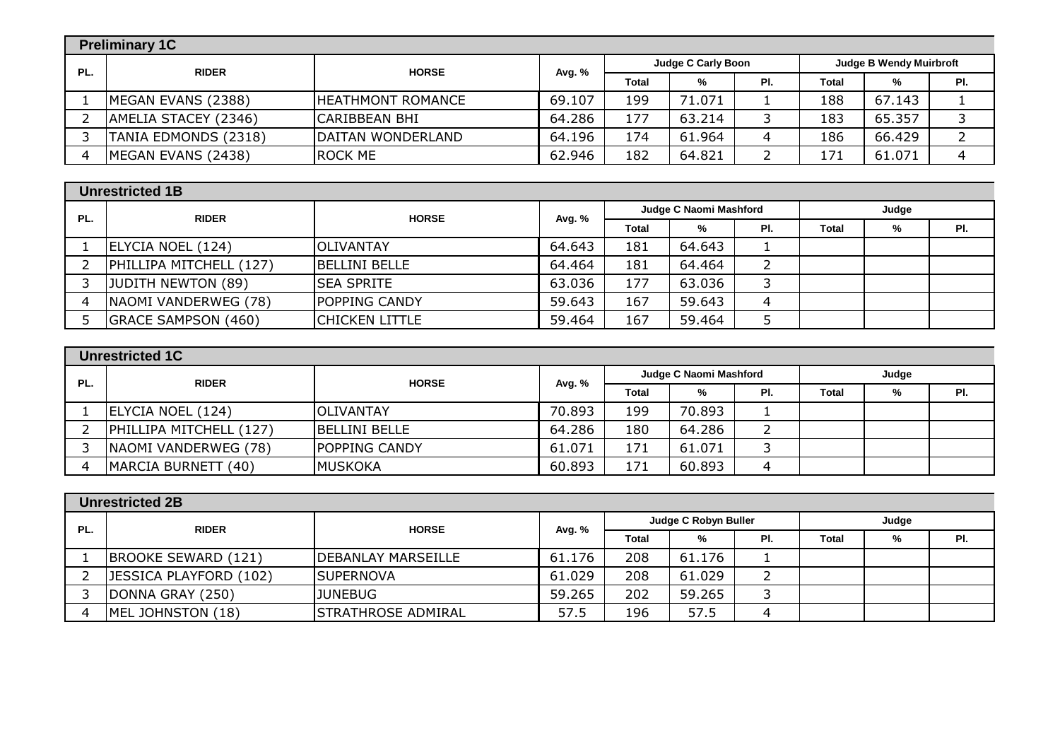|     | <b>Preliminary 1C</b> |                    |        |                                                             |        |     |       |        |     |  |
|-----|-----------------------|--------------------|--------|-------------------------------------------------------------|--------|-----|-------|--------|-----|--|
| PL. | <b>RIDER</b>          | <b>HORSE</b>       | Avg. % | <b>Judge C Carly Boon</b><br><b>Judge B Wendy Muirbroft</b> |        |     |       |        |     |  |
|     |                       |                    |        | <b>Total</b>                                                | %      | PI. | Total | %      | PI. |  |
|     | MEGAN EVANS (2388)    | IHEATHMONT ROMANCE | 69.107 | 199                                                         | 71.071 |     | 188   | 67.143 |     |  |
|     | AMELIA STACEY (2346)  | ICARIBBEAN BHI     | 64.286 | 177                                                         | 63.214 |     | 183   | 65.357 |     |  |
|     | TANIA EDMONDS (2318)  | DAITAN WONDERLAND  | 64.196 | 174                                                         | 61.964 | 4   | 186   | 66.429 |     |  |
|     | MEGAN EVANS (2438)    | <b>IROCK ME</b>    | 62.946 | 182                                                         | 64.821 |     | 171   | 61.071 | 4   |  |

|     | <b>Unrestricted 1B</b>     |                       |        |              |                        |            |       |   |     |
|-----|----------------------------|-----------------------|--------|--------------|------------------------|------------|-------|---|-----|
| PL. | <b>RIDER</b>               | <b>HORSE</b>          | Avg. % |              | Judge C Naomi Mashford |            | Judge |   |     |
|     |                            |                       |        | <b>Total</b> | %                      | PI.        | Total | % | PI. |
|     | ELYCIA NOEL (124)          | <b>IOLIVANTAY</b>     | 64.643 | 181          | 64.643                 |            |       |   |     |
|     | PHILLIPA MITCHELL (127)    | <b>IBELLINI BELLE</b> | 64.464 | 181          | 64.464                 | $\epsilon$ |       |   |     |
|     | JUDITH NEWTON (89)         | <b>ISEA SPRITE</b>    | 63.036 | 177          | 63.036                 | ت          |       |   |     |
|     | NAOMI VANDERWEG (78)       | <b>POPPING CANDY</b>  | 59.643 | 167          | 59.643                 | 4          |       |   |     |
|     | <b>GRACE SAMPSON (460)</b> | <b>CHICKEN LITTLE</b> | 59.464 | 167          | 59.464                 |            |       |   |     |

|     | <b>Unrestricted 1C</b>  |                      |        |              |                        |     |       |   |     |  |
|-----|-------------------------|----------------------|--------|--------------|------------------------|-----|-------|---|-----|--|
| PL. | <b>RIDER</b>            | <b>HORSE</b>         | Avg. % |              | Judge C Naomi Mashford |     | Judge |   |     |  |
|     |                         |                      |        | <b>Total</b> | %                      | PI. | Total | % | PI. |  |
|     | ELYCIA NOEL (124)       | <b>IOLIVANTAY</b>    | 70.893 | 199          | 70.893                 |     |       |   |     |  |
|     | PHILLIPA MITCHELL (127) | BELLINI BELLE        | 64.286 | 180          | 64.286                 | ∸   |       |   |     |  |
|     | NAOMI VANDERWEG (78)    | <b>POPPING CANDY</b> | 61.071 | 171          | 61.071                 | ٮ   |       |   |     |  |
|     | MARCIA BURNETT (40)     | IMUSKOKA             | 60.893 | 171          | 60.893                 | 4   |       |   |     |  |

| PL. | <b>RIDER</b>           | <b>HORSE</b>              |        |              | Judge C Robyn Buller |     |       | Judge |     |
|-----|------------------------|---------------------------|--------|--------------|----------------------|-----|-------|-------|-----|
|     |                        |                           | Avg. % | <b>Total</b> | %                    | PI. | Total | %     | PI. |
|     | BROOKE SEWARD (121)    | <b>DEBANLAY MARSEILLE</b> | 61.176 | 208          | 61.176               |     |       |       |     |
|     | JESSICA PLAYFORD (102) | <b>SUPERNOVA</b>          | 61.029 | 208          | 61.029               | ╯   |       |       |     |
|     | DONNA GRAY (250)       | <b>JUNEBUG</b>            | 59.265 | 202          | 59.265               |     |       |       |     |
|     | MEL JOHNSTON (18)      | <b>STRATHROSE ADMIRAL</b> | 57.5   | 196          | 57.5                 | Δ   |       |       |     |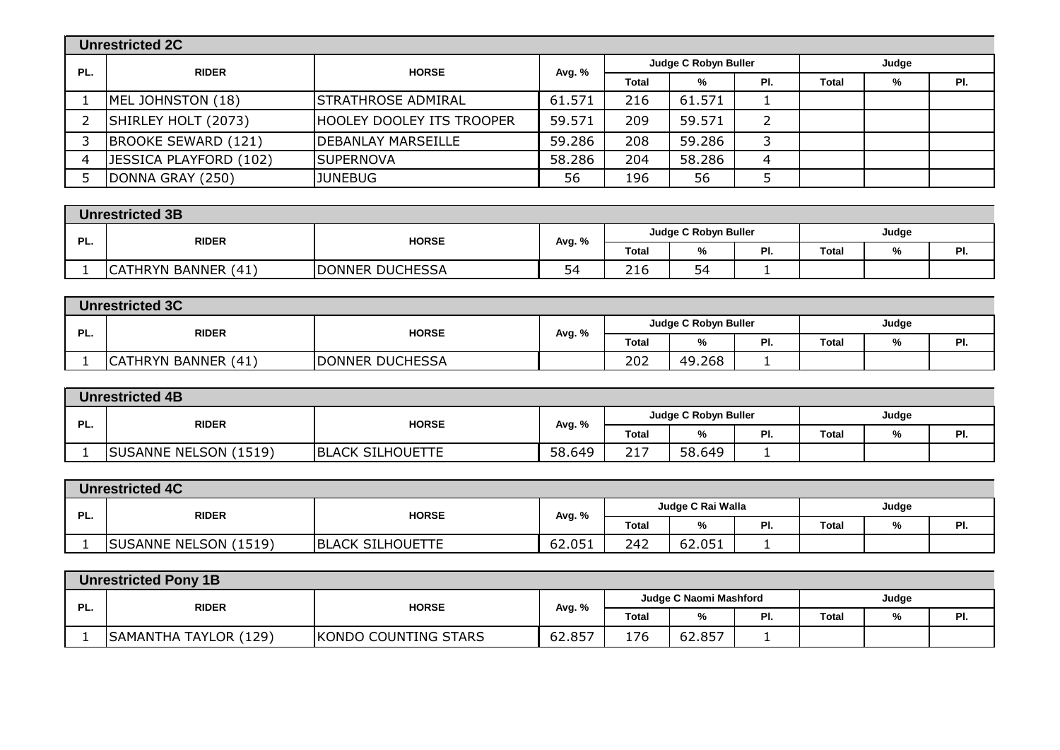|     | <b>Unrestricted 2C</b>        |                           |        |       |                      |                |       |   |     |  |
|-----|-------------------------------|---------------------------|--------|-------|----------------------|----------------|-------|---|-----|--|
| PL. | <b>RIDER</b>                  | <b>HORSE</b>              | Avg. % |       | Judge C Robyn Buller |                | Judge |   |     |  |
|     |                               |                           |        | Total | %                    | PI.            | Total | % | PI. |  |
|     | MEL JOHNSTON (18)             | <b>STRATHROSE ADMIRAL</b> | 61.571 | 216   | 61.571               |                |       |   |     |  |
|     | SHIRLEY HOLT (2073)           | HOOLEY DOOLEY ITS TROOPER | 59.571 | 209   | 59.571               | $\overline{2}$ |       |   |     |  |
|     | BROOKE SEWARD (121)           | DEBANLAY MARSEILLE        | 59.286 | 208   | 59.286               | 3              |       |   |     |  |
| 4   | <b>JESSICA PLAYFORD (102)</b> | <b>SUPERNOVA</b>          | 58.286 | 204   | 58.286               | 4              |       |   |     |  |
|     | DONNA GRAY (250)              | <b>JUNEBUG</b>            | 56     | 196   | 56                   |                |       |   |     |  |
|     |                               |                           |        |       |                      |                |       |   |     |  |

|     | <b>Unrestricted 3B</b> |                              |                                |              |                      |     |              |              |           |  |
|-----|------------------------|------------------------------|--------------------------------|--------------|----------------------|-----|--------------|--------------|-----------|--|
| ים  |                        | <b>RIDER</b><br><b>HORSE</b> |                                |              | Judge C Robyn Buller |     | Judge        |              |           |  |
| гL. |                        |                              | Avg. %                         | <b>Total</b> | %                    | PI. | <b>Total</b> | $\mathbf{0}$ | D.<br>. . |  |
|     | CATHRYN BANNER (41)    | DONNER DUCHESSA              | $\overline{\phantom{a}}$<br>54 | 216          | ÷.<br>54<br>◡        |     |              |              |           |  |

|     | <b>Unrestricted 3C</b> |                        |        |                             |        |     |              |   |         |  |
|-----|------------------------|------------------------|--------|-----------------------------|--------|-----|--------------|---|---------|--|
|     |                        | <b>HORSE</b>           |        | <b>Judge C Robyn Buller</b> |        |     | Judge        |   |         |  |
| PL. | <b>RIDER</b>           |                        | Avg. % | <b>Total</b>                | 7٥     | PI. | <b>Total</b> | % | D.<br>. |  |
|     | CATHRYN BANNER (41)    | <b>DONNER DUCHESSA</b> |        | 202                         | 49.268 | -   |              |   |         |  |

|    | <b>Unrestricted 4B</b> |                         |        |              |                      |     |              |   |     |  |
|----|------------------------|-------------------------|--------|--------------|----------------------|-----|--------------|---|-----|--|
| D. | <b>RIDER</b>           | <b>HORSE</b>            |        |              | Judge C Robyn Buller |     | Judge        |   |     |  |
| r. |                        |                         | Avg. % | <b>Total</b> | ە⁄"                  | PI. | <b>Total</b> | % | PI. |  |
|    | SUSANNE NELSON (1519)  | <b>BLACK SILHOUETTE</b> | 58.649 | 212<br>44.   | 58.649               |     |              |   |     |  |

| <b>Unrestricted 4C</b> |                              |                         |                   |              |        |       |              |  |     |
|------------------------|------------------------------|-------------------------|-------------------|--------------|--------|-------|--------------|--|-----|
| ים<br>rL.              | <b>RIDER</b><br><b>HORSE</b> |                         | Judge C Rai Walla |              |        | Judge |              |  |     |
|                        |                              |                         | Avg. %            | <b>Total</b> | %      | PI.   | <b>Total</b> |  | PI. |
|                        | <b>SUSANNE NELSON (1519)</b> | <b>BLACK SILHOUETTE</b> | 62.051            | 242          | 62.051 |       |              |  |     |

|     | <b>Unrestricted Pony 1B</b>  |                      |                        |              |        |     |              |   |     |  |
|-----|------------------------------|----------------------|------------------------|--------------|--------|-----|--------------|---|-----|--|
| PL. | <b>HORSE</b><br><b>RIDER</b> | Avg. %               | Judge C Naomi Mashford |              |        |     | Judge        |   |     |  |
|     |                              |                      |                        | <b>Total</b> | %      | PI. | <b>Total</b> | % | PI. |  |
|     | SAMANTHA TAYLOR (129)        | KONDO COUNTING STARS | 62.857                 | 176          | 62.857 |     |              |   |     |  |
|     |                              |                      |                        |              |        |     |              |   |     |  |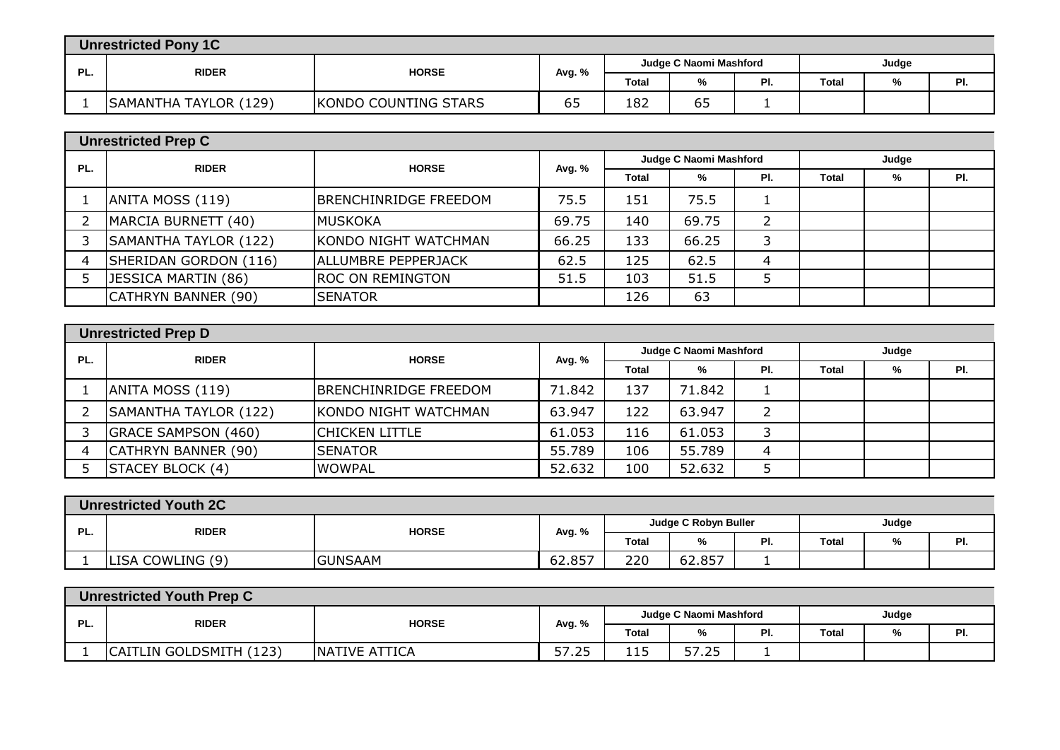| <b>Unrestricted Pony 1C</b> |                            |                      |        |                        |    |     |              |  |     |
|-----------------------------|----------------------------|----------------------|--------|------------------------|----|-----|--------------|--|-----|
| PL.                         | <b>RIDER</b>               | <b>HORSE</b>         | Avg. % | Judge C Naomi Mashford |    |     | Judge        |  |     |
|                             |                            |                      |        | <b>Total</b>           | %  | PI. | <b>Total</b> |  | PI. |
|                             | SAMANTHA TAYLOR (<br>(129) | KONDO COUNTING STARS | ხჂ     | 182                    | כס | -   |              |  |     |

|     | <b>Unrestricted Prep C</b> |                         |        |                        |       |                |              |   |     |  |
|-----|----------------------------|-------------------------|--------|------------------------|-------|----------------|--------------|---|-----|--|
| PL. | <b>RIDER</b>               | <b>HORSE</b>            | Avg. % | Judge C Naomi Mashford |       |                | Judge        |   |     |  |
|     |                            |                         |        | <b>Total</b>           | %     | PI.            | <b>Total</b> | % | PI. |  |
|     | ANITA MOSS (119)           | BRENCHINRIDGE FREEDOM   | 75.5   | 151                    | 75.5  |                |              |   |     |  |
|     | MARCIA BURNETT (40)        | <b>MUSKOKA</b>          | 69.75  | 140                    | 69.75 | $\overline{2}$ |              |   |     |  |
|     | SAMANTHA TAYLOR (122)      | KONDO NIGHT WATCHMAN    | 66.25  | 133                    | 66.25 | 3              |              |   |     |  |
|     | SHERIDAN GORDON (116)      | ALLUMBRE PEPPERJACK     | 62.5   | 125                    | 62.5  | $\overline{4}$ |              |   |     |  |
|     | JESSICA MARTIN (86)        | <b>ROC ON REMINGTON</b> | 51.5   | 103                    | 51.5  |                |              |   |     |  |
|     | CATHRYN BANNER (90)        | <b>SENATOR</b>          |        | 126                    | 63    |                |              |   |     |  |

|     | <b>Unrestricted Prep D</b> |                       |        |                        |        |     |              |   |     |  |
|-----|----------------------------|-----------------------|--------|------------------------|--------|-----|--------------|---|-----|--|
| PL. | <b>RIDER</b>               | <b>HORSE</b>          | Avg. % | Judge C Naomi Mashford |        |     | Judge        |   |     |  |
|     |                            |                       |        | Total                  | %      | PI. | <b>Total</b> | % | PI. |  |
|     | ANITA MOSS (119)           | BRENCHINRIDGE FREEDOM | 71.842 | 137                    | 71.842 |     |              |   |     |  |
|     | SAMANTHA TAYLOR (122)      | KONDO NIGHT WATCHMAN  | 63.947 | 122                    | 63.947 | 2   |              |   |     |  |
|     | <b>GRACE SAMPSON (460)</b> | Chicken Little        | 61.053 | 116                    | 61.053 | 3   |              |   |     |  |
|     | CATHRYN BANNER (90)        | <b>SENATOR</b>        | 55.789 | 106                    | 55.789 | 4   |              |   |     |  |
|     | <b>STACEY BLOCK (4)</b>    | <b>WOWPAL</b>         | 52.632 | 100                    | 52.632 |     |              |   |     |  |

|    | <b>Unrestricted Youth 2C</b> |                |        |                      |        |     |       |              |     |  |
|----|------------------------------|----------------|--------|----------------------|--------|-----|-------|--------------|-----|--|
| ÐТ | <b>RIDER</b><br><b>HORSE</b> |                |        | Judge C Robyn Buller |        |     | Judge |              |     |  |
| г. |                              |                | Avg. % | <b>Total</b>         | %      | PI. | Total | $\mathbf{O}$ | . . |  |
|    | LISA COWLING (9)             | <b>GUNSAAM</b> | 62.857 | 220                  | 62.857 |     |       |              |     |  |

| <b>Unrestricted Youth Prep C</b> |     |                         |               |        |                        |       |     |       |       |     |  |
|----------------------------------|-----|-------------------------|---------------|--------|------------------------|-------|-----|-------|-------|-----|--|
|                                  | PL. | <b>RIDER</b>            | <b>HORSE</b>  | Avg. % | Judge C Naomi Mashford |       |     |       | Judge |     |  |
|                                  |     |                         |               |        | Total                  | %     | PI. | Total | %     | PI. |  |
|                                  |     | CAITLIN GOLDSMITH (123) | NATIVE ATTICA | 57.25  | 115                    | 57.25 |     |       |       |     |  |